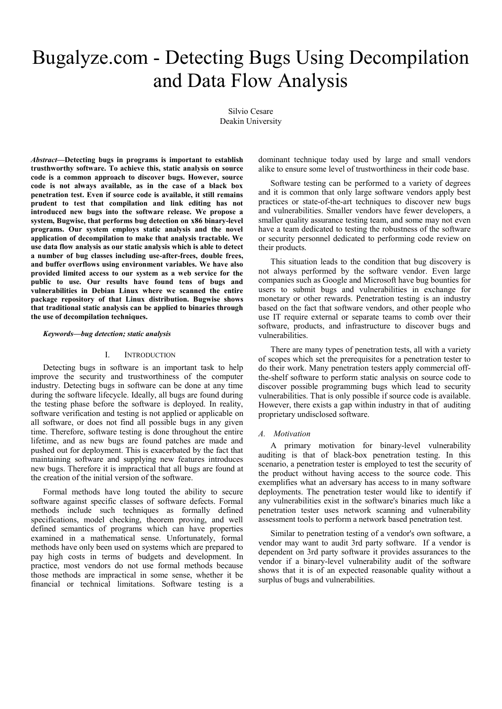# Bugalyze.com - Detecting Bugs Using Decompilation and Data Flow Analysis

Silvio Cesare Deakin University

*Abstract***—Detecting bugs in programs is important to establish trusthworthy software. To achieve this, static analysis on source code is a common approach to discover bugs. However, source code is not always available, as in the case of a black box penetration test. Even if source code is available, it still remains prudent to test that compilation and link editing has not introduced new bugs into the software release. We propose a system, Bugwise, that performs bug detection on x86 binary-level programs. Our system employs static analysis and the novel application of decompilation to make that analysis tractable. We use data flow analysis as our static analysis which is able to detect a number of bug classes including use-after-frees, double frees, and buffer overflows using environment variables. We have also provided limited access to our system as a web service for the public to use. Our results have found tens of bugs and vulnerabilities in Debian Linux where we scanned the entire package repository of that Linux distribution. Bugwise shows that traditional static analysis can be applied to binaries through the use of decompilation techniques.**

#### *Keywords—bug detection; static analysis*

#### I. INTRODUCTION

Detecting bugs in software is an important task to help improve the security and trustworthiness of the computer industry. Detecting bugs in software can be done at any time during the software lifecycle. Ideally, all bugs are found during the testing phase before the software is deployed. In reality, software verification and testing is not applied or applicable on all software, or does not find all possible bugs in any given time. Therefore, software testing is done throughout the entire lifetime, and as new bugs are found patches are made and pushed out for deployment. This is exacerbated by the fact that maintaining software and supplying new features introduces new bugs. Therefore it is impractical that all bugs are found at the creation of the initial version of the software.

Formal methods have long touted the ability to secure software against specific classes of software defects. Formal methods include such techniques as formally defined specifications, model checking, theorem proving, and well defined semantics of programs which can have properties examined in a mathematical sense. Unfortunately, formal methods have only been used on systems which are prepared to pay high costs in terms of budgets and development. In practice, most vendors do not use formal methods because those methods are impractical in some sense, whether it be financial or technical limitations. Software testing is a dominant technique today used by large and small vendors alike to ensure some level of trustworthiness in their code base.

Software testing can be performed to a variety of degrees and it is common that only large software vendors apply best practices or state-of-the-art techniques to discover new bugs and vulnerabilities. Smaller vendors have fewer developers, a smaller quality assurance testing team, and some may not even have a team dedicated to testing the robustness of the software or security personnel dedicated to performing code review on their products.

This situation leads to the condition that bug discovery is not always performed by the software vendor. Even large companies such as Google and Microsoft have bug bounties for users to submit bugs and vulnerabilities in exchange for monetary or other rewards. Penetration testing is an industry based on the fact that software vendors, and other people who use IT require external or separate teams to comb over their software, products, and infrastructure to discover bugs and vulnerabilities.

There are many types of penetration tests, all with a variety of scopes which set the prerequisites for a penetration tester to do their work. Many penetration testers apply commercial offthe-shelf software to perform static analysis on source code to discover possible programming bugs which lead to security vulnerabilities. That is only possible if source code is available. However, there exists a gap within industry in that of auditing proprietary undisclosed software.

#### *A. Motivation*

A primary motivation for binary-level vulnerability auditing is that of black-box penetration testing. In this scenario, a penetration tester is employed to test the security of the product without having access to the source code. This exemplifies what an adversary has access to in many software deployments. The penetration tester would like to identify if any vulnerabilities exist in the software's binaries much like a penetration tester uses network scanning and vulnerability assessment tools to perform a network based penetration test.

Similar to penetration testing of a vendor's own software, a vendor may want to audit 3rd party software. If a vendor is dependent on 3rd party software it provides assurances to the vendor if a binary-level vulnerability audit of the software shows that it is of an expected reasonable quality without a surplus of bugs and vulnerabilities.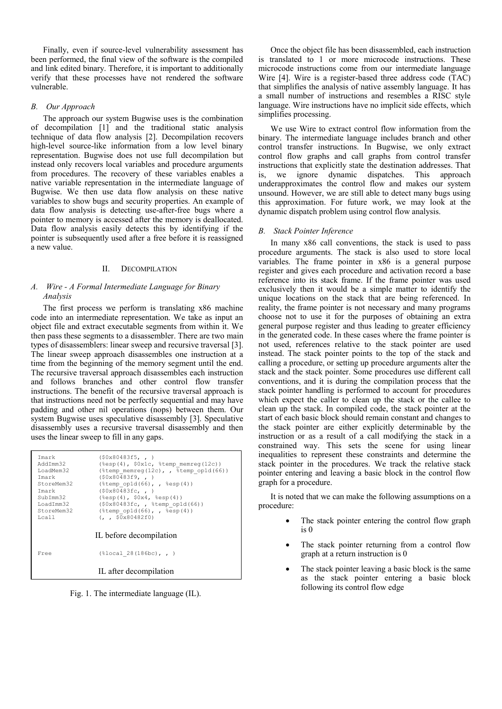Finally, even if source-level vulnerability assessment has been performed, the final view of the software is the compiled and link edited binary. Therefore, it is important to additionally verify that these processes have not rendered the software vulnerable.

# *B. Our Approach*

The approach our system Bugwise uses is the combination of decompilation [\[1\]](#page-8-0) and the traditional static analysis technique of data flow analysis [\[2\]](#page-8-1). Decompilation recovers high-level source-like information from a low level binary representation. Bugwise does not use full decompilation but instead only recovers local variables and procedure arguments from procedures. The recovery of these variables enables a native variable representation in the intermediate language of Bugwise. We then use data flow analysis on these native variables to show bugs and security properties. An example of data flow analysis is detecting use-after-free bugs where a pointer to memory is accessed after the memory is deallocated. Data flow analysis easily detects this by identifying if the pointer is subsequently used after a free before it is reassigned a new value.

#### II. DECOMPILATION

# *A. Wire - A Formal Intermediate Language for Binary Analysis*

The first process we perform is translating x86 machine code into an intermediate representation. We take as input an object file and extract executable segments from within it. We then pass these segments to a disassembler. There are two main types of disassemblers: linear sweep and recursive traversal [\[3\]](#page-8-2). The linear sweep approach disassembles one instruction at a time from the beginning of the memory segment until the end. The recursive traversal approach disassembles each instruction and follows branches and other control flow transfer instructions. The benefit of the recursive traversal approach is that instructions need not be perfectly sequential and may have padding and other nil operations (nops) between them. Our system Bugwise uses speculative disassembly [\[3\]](#page-8-2). Speculative disassembly uses a recursive traversal disassembly and then uses the linear sweep to fill in any gaps.

| Tmark                                                                                  | (50x80483f5, , )                                                 |
|----------------------------------------------------------------------------------------|------------------------------------------------------------------|
| AddTmm32                                                                               | $(\text{resp } (4)$ , $\text{0x1c}$ , $\text{temp}$ memreq(12c)) |
| LoadMem32                                                                              | (%temp memreg(12c), , %temp op1d(66))                            |
| Tmark                                                                                  | (50x80483f9, , )                                                 |
| StoreMem32                                                                             | $(\text{stemp opld}(66)$ , , $\text{sesp}(4))$                   |
| Tmark                                                                                  | (50x80483fc, , )                                                 |
| SubTmm32                                                                               | $(\text{sep}(4), \text{50x4}, \text{sep}(4))$                    |
| LoadImm32                                                                              | $(50x80483fc, ,$ %temp op1d(66))                                 |
| StoreMem32                                                                             | $(\text{stemp opld}(66)$ , , $\text{sesp}(4))$                   |
| Lca11                                                                                  | $(1, 50 \times 80482f0)$                                         |
| IL before decompilation<br>$(\$local 28(186bc), , )$<br>Free<br>IL after decompilation |                                                                  |

Fig. 1. The intermediate language (IL).

Once the object file has been disassembled, each instruction is translated to 1 or more microcode instructions. These microcode instructions come from our intermediate language Wire [\[4\]](#page-8-3). Wire is a register-based three address code (TAC) that simplifies the analysis of native assembly language. It has a small number of instructions and resembles a RISC style language. Wire instructions have no implicit side effects, which simplifies processing.

We use Wire to extract control flow information from the binary. The intermediate language includes branch and other control transfer instructions. In Bugwise, we only extract control flow graphs and call graphs from control transfer instructions that explicitly state the destination addresses. That is, we ignore dynamic dispatches. This approach underapproximates the control flow and makes our system unsound. However, we are still able to detect many bugs using this approximation. For future work, we may look at the dynamic dispatch problem using control flow analysis.

#### *B. Stack Pointer Inference*

In many x86 call conventions, the stack is used to pass procedure arguments. The stack is also used to store local variables. The frame pointer in x86 is a general purpose register and gives each procedure and activation record a base reference into its stack frame. If the frame pointer was used exclusively then it would be a simple matter to identify the unique locations on the stack that are being referenced. In reality, the frame pointer is not necessary and many programs choose not to use it for the purposes of obtaining an extra general purpose register and thus leading to greater efficiency in the generated code. In these cases where the frame pointer is not used, references relative to the stack pointer are used instead. The stack pointer points to the top of the stack and calling a procedure, or setting up procedure arguments alter the stack and the stack pointer. Some procedures use different call conventions, and it is during the compilation process that the stack pointer handling is performed to account for procedures which expect the caller to clean up the stack or the callee to clean up the stack. In compiled code, the stack pointer at the start of each basic block should remain constant and changes to the stack pointer are either explicitly determinable by the instruction or as a result of a call modifying the stack in a constrained way. This sets the scene for using linear inequalities to represent these constraints and determine the stack pointer in the procedures. We track the relative stack pointer entering and leaving a basic block in the control flow graph for a procedure.

It is noted that we can make the following assumptions on a procedure:

- The stack pointer entering the control flow graph is 0
- The stack pointer returning from a control flow graph at a return instruction is 0
- The stack pointer leaving a basic block is the same as the stack pointer entering a basic block following its control flow edge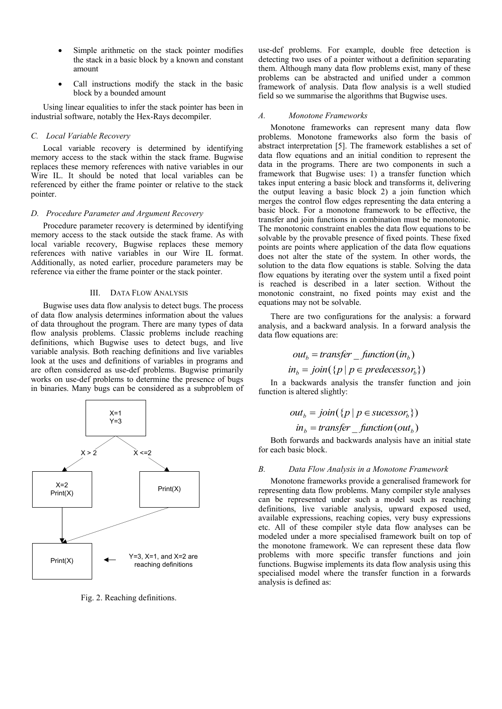- Simple arithmetic on the stack pointer modifies the stack in a basic block by a known and constant amount
- Call instructions modify the stack in the basic block by a bounded amount

Using linear equalities to infer the stack pointer has been in industrial software, notably the Hex-Rays decompiler.

# *C. Local Variable Recovery*

Local variable recovery is determined by identifying memory access to the stack within the stack frame. Bugwise replaces these memory references with native variables in our Wire IL. It should be noted that local variables can be referenced by either the frame pointer or relative to the stack pointer.

## *D. Procedure Parameter and Argument Recovery*

Procedure parameter recovery is determined by identifying memory access to the stack outside the stack frame. As with local variable recovery, Bugwise replaces these memory references with native variables in our Wire IL format. Additionally, as noted earlier, procedure parameters may be reference via either the frame pointer or the stack pointer.

## III. DATA FLOW ANALYSIS

Bugwise uses data flow analysis to detect bugs. The process of data flow analysis determines information about the values of data throughout the program. There are many types of data flow analysis problems. Classic problems include reaching definitions, which Bugwise uses to detect bugs, and live variable analysis. Both reaching definitions and live variables look at the uses and definitions of variables in programs and are often considered as use-def problems. Bugwise primarily works on use-def problems to determine the presence of bugs in binaries. Many bugs can be considered as a subproblem of



Fig. 2. Reaching definitions.

use-def problems. For example, double free detection is detecting two uses of a pointer without a definition separating them. Although many data flow problems exist, many of these problems can be abstracted and unified under a common framework of analysis. Data flow analysis is a well studied field so we summarise the algorithms that Bugwise uses.

## *A. Monotone Frameworks*

Monotone frameworks can represent many data flow problems. Monotone frameworks also form the basis of abstract interpretation [\[5\]](#page-8-4). The framework establishes a set of data flow equations and an initial condition to represent the data in the programs. There are two components in such a framework that Bugwise uses: 1) a transfer function which takes input entering a basic block and transforms it, delivering the output leaving a basic block 2) a join function which merges the control flow edges representing the data entering a basic block. For a monotone framework to be effective, the transfer and join functions in combination must be monotonic. The monotonic constraint enables the data flow equations to be solvable by the provable presence of fixed points. These fixed points are points where application of the data flow equations does not alter the state of the system. In other words, the solution to the data flow equations is stable. Solving the data flow equations by iterating over the system until a fixed point is reached is described in a later section. Without the monotonic constraint, no fixed points may exist and the equations may not be solvable.

There are two configurations for the analysis: a forward analysis, and a backward analysis. In a forward analysis the data flow equations are:

$$
out_b = transfer\_function(in_b)
$$

 $\{in_j = join(\{p \mid p \in predecessor_b\})\}$ 

In a backwards analysis the transfer function and join function is altered slightly:

$$
out_b = join({p | p \in successor_b})
$$
  

$$
in_b = transfer\_function(out_b)
$$

Both forwards and backwards analysis have an initial state for each basic block.

## *B. Data Flow Analysis in a Monotone Framework*

Monotone frameworks provide a generalised framework for representing data flow problems. Many compiler style analyses can be represented under such a model such as reaching definitions, live variable analysis, upward exposed used, available expressions, reaching copies, very busy expressions etc. All of these compiler style data flow analyses can be modeled under a more specialised framework built on top of the monotone framework. We can represent these data flow problems with more specific transfer functions and join functions. Bugwise implements its data flow analysis using this specialised model where the transfer function in a forwards analysis is defined as: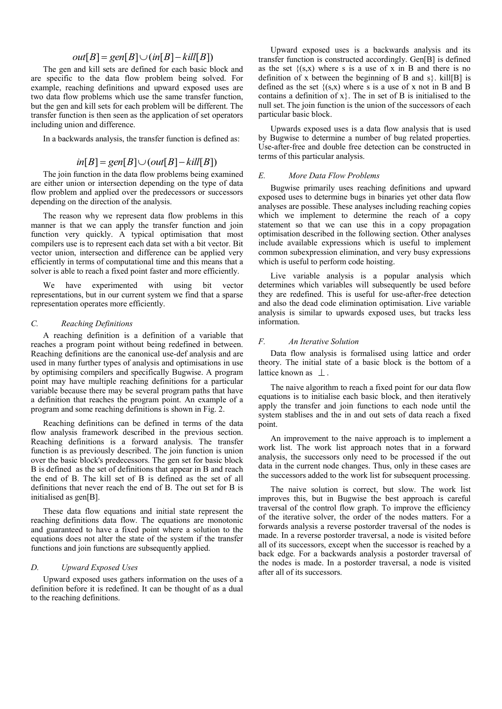# $out[B] = gen[B] \cup (in[B] - kill[B])$

The gen and kill sets are defined for each basic block and are specific to the data flow problem being solved. For example, reaching definitions and upward exposed uses are two data flow problems which use the same transfer function, but the gen and kill sets for each problem will be different. The transfer function is then seen as the application of set operators including union and difference.

In a backwards analysis, the transfer function is defined as:

# $in[B] = gen[B] \cup (out[B] - kill[B])$

The join function in the data flow problems being examined are either union or intersection depending on the type of data flow problem and applied over the predecessors or successors depending on the direction of the analysis.

The reason why we represent data flow problems in this manner is that we can apply the transfer function and join function very quickly. A typical optimisation that most compilers use is to represent each data set with a bit vector. Bit vector union, intersection and difference can be applied very efficiently in terms of computational time and this means that a solver is able to reach a fixed point faster and more efficiently.

We have experimented with using bit vector representations, but in our current system we find that a sparse representation operates more efficiently.

# *C. Reaching Definitions*

A reaching definition is a definition of a variable that reaches a program point without being redefined in between. Reaching definitions are the canonical use-def analysis and are used in many further types of analysis and optimisations in use by optimising compilers and specifically Bugwise. A program point may have multiple reaching definitions for a particular variable because there may be several program paths that have a definition that reaches the program point. An example of a program and some reaching definitions is shown in Fig. 2.

Reaching definitions can be defined in terms of the data flow analysis framework described in the previous section. Reaching definitions is a forward analysis. The transfer function is as previously described. The join function is union over the basic block's predecessors. The gen set for basic block B is defined as the set of definitions that appear in B and reach the end of B. The kill set of B is defined as the set of all definitions that never reach the end of B. The out set for B is initialised as gen[B].

These data flow equations and initial state represent the reaching definitions data flow. The equations are monotonic and guaranteed to have a fixed point where a solution to the equations does not alter the state of the system if the transfer functions and join functions are subsequently applied.

# *D. Upward Exposed Uses*

Upward exposed uses gathers information on the uses of a definition before it is redefined. It can be thought of as a dual to the reaching definitions.

Upward exposed uses is a backwards analysis and its transfer function is constructed accordingly. Gen[B] is defined as the set  $\{(s,x)$  where s is a use of x in B and there is no definition of x between the beginning of B and  $s$ . kill[B] is defined as the set  $\{(s,x)$  where s is a use of x not in B and B contains a definition of  $x$ }. The in set of B is initialised to the null set. The join function is the union of the successors of each particular basic block.

Upwards exposed uses is a data flow analysis that is used by Bugwise to determine a number of bug related properties. Use-after-free and double free detection can be constructed in terms of this particular analysis.

# *E. More Data Flow Problems*

Bugwise primarily uses reaching definitions and upward exposed uses to determine bugs in binaries yet other data flow analyses are possible. These analyses including reaching copies which we implement to determine the reach of a copy statement so that we can use this in a copy propagation optimisation described in the following section. Other analyses include available expressions which is useful to implement common subexpression elimination, and very busy expressions which is useful to perform code hoisting.

Live variable analysis is a popular analysis which determines which variables will subsequently be used before they are redefined. This is useful for use-after-free detection and also the dead code elimination optimisation. Live variable analysis is similar to upwards exposed uses, but tracks less information.

# *F. An Iterative Solution*

Data flow analysis is formalised using lattice and order theory. The initial state of a basic block is the bottom of a lattice known as  $\perp$ .

The naive algorithm to reach a fixed point for our data flow equations is to initialise each basic block, and then iteratively apply the transfer and join functions to each node until the system stablises and the in and out sets of data reach a fixed point.

An improvement to the naive approach is to implement a work list. The work list approach notes that in a forward analysis, the successors only need to be processed if the out data in the current node changes. Thus, only in these cases are the successors added to the work list for subsequent processing.

The naive solution is correct, but slow. The work list improves this, but in Bugwise the best approach is careful traversal of the control flow graph. To improve the efficiency of the iterative solver, the order of the nodes matters. For a forwards analysis a reverse postorder traversal of the nodes is made. In a reverse postorder traversal, a node is visited before all of its successors, except when the successor is reached by a back edge. For a backwards analysis a postorder traversal of the nodes is made. In a postorder traversal, a node is visited after all of its successors.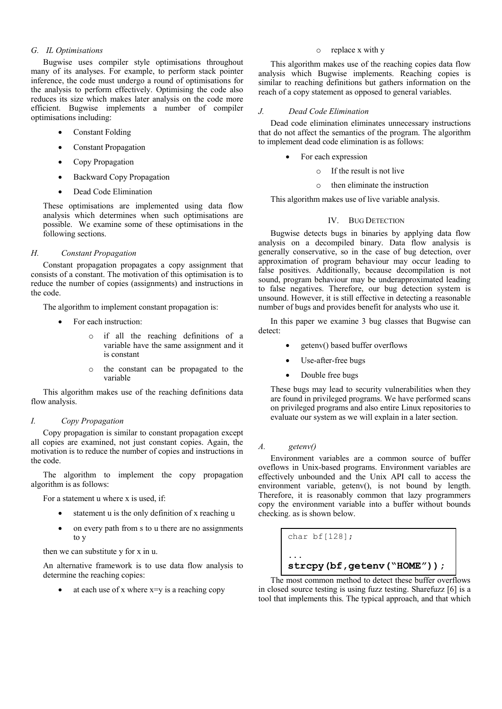## *G. IL Optimisations*

Bugwise uses compiler style optimisations throughout many of its analyses. For example, to perform stack pointer inference, the code must undergo a round of optimisations for the analysis to perform effectively. Optimising the code also reduces its size which makes later analysis on the code more efficient. Bugwise implements a number of compiler optimisations including:

- Constant Folding
- Constant Propagation
- Copy Propagation
- Backward Copy Propagation
- Dead Code Elimination

These optimisations are implemented using data flow analysis which determines when such optimisations are possible. We examine some of these optimisations in the following sections.

# *H. Constant Propagation*

Constant propagation propagates a copy assignment that consists of a constant. The motivation of this optimisation is to reduce the number of copies (assignments) and instructions in the code.

The algorithm to implement constant propagation is:

- For each instruction:
	- o if all the reaching definitions of a variable have the same assignment and it is constant
	- o the constant can be propagated to the variable

This algorithm makes use of the reaching definitions data flow analysis.

## *I. Copy Propagation*

Copy propagation is similar to constant propagation except all copies are examined, not just constant copies. Again, the motivation is to reduce the number of copies and instructions in the code.

The algorithm to implement the copy propagation algorithm is as follows:

For a statement u where x is used, if:

- statement u is the only definition of x reaching u
- on every path from s to u there are no assignments to y

then we can substitute y for x in u.

An alternative framework is to use data flow analysis to determine the reaching copies:

at each use of x where x=y is a reaching copy

# o replace x with y

This algorithm makes use of the reaching copies data flow analysis which Bugwise implements. Reaching copies is similar to reaching definitions but gathers information on the reach of a copy statement as opposed to general variables.

## *J. Dead Code Elimination*

Dead code elimination eliminates unnecessary instructions that do not affect the semantics of the program. The algorithm to implement dead code elimination is as follows:

- For each expression
	- o If the result is not live
	- o then eliminate the instruction

This algorithm makes use of live variable analysis.

# IV. BUG DETECTION

Bugwise detects bugs in binaries by applying data flow analysis on a decompiled binary. Data flow analysis is generally conservative, so in the case of bug detection, over approximation of program behaviour may occur leading to false positives. Additionally, because decompilation is not sound, program behaviour may be underapproximated leading to false negatives. Therefore, our bug detection system is unsound. However, it is still effective in detecting a reasonable number of bugs and provides benefit for analysts who use it.

In this paper we examine 3 bug classes that Bugwise can detect:

- getenv() based buffer overflows
- Use-after-free bugs
- Double free bugs

These bugs may lead to security vulnerabilities when they are found in privileged programs. We have performed scans on privileged programs and also entire Linux repositories to evaluate our system as we will explain in a later section.

## *A. getenv()*

Environment variables are a common source of buffer oveflows in Unix-based programs. Environment variables are effectively unbounded and the Unix API call to access the environment variable, getenv(), is not bound by length. Therefore, it is reasonably common that lazy programmers copy the environment variable into a buffer without bounds checking. as is shown below.

```
char bf[128];
...
strcpy(bf,getenv("HOME"));
```
The most common method to detect these buffer overflows in closed source testing is using fuzz testing. Sharefuzz [\[6\]](#page-8-5) is a tool that implements this. The typical approach, and that which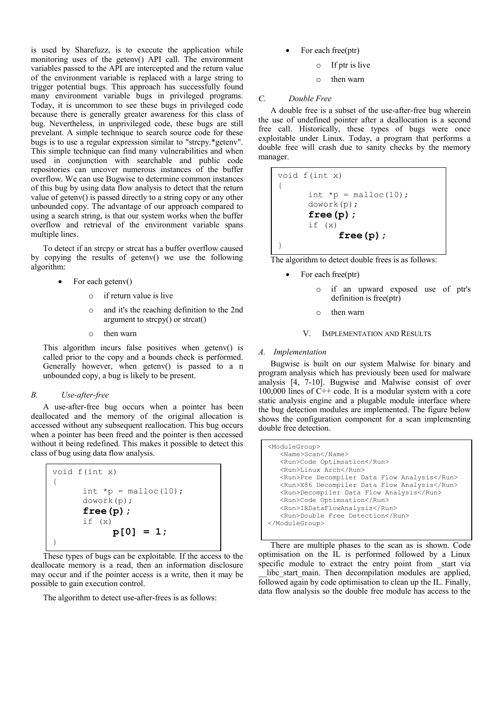is used by Sharefuzz, is to execute the application while monitoring uses of the getenv() API call. The environment variables passed to the API are intercepted and the return value of the environment variable is replaced with a large string to trigger potential bugs. This approach has successfully found many environment variable bugs in privileged programs. Today, it is uncommon to see these bugs in privileged code because there is generally greater awareness for this class of bug. Nevertheless, in unprivileged code, these bugs are still prevelant. A simple technique to search source code for these bugs is to use a regular expression similar to "strcpy.\*getenv". This simple technique can find many vulnerabilities and when used in conjunction with searchable and public code repositories can uncover numerous instances of the buffer overflow. We can use Bugwise to determine common instances of this bug by using data flow analysis to detect that the return value of getenv() is passed directly to a string copy or any other unbounded copy. The advantage of our approach compared to using a search string, is that our system works when the buffer overflow and retrieval of the environment variable spans multiple lines.

To detect if an strcpy or strcat has a buffer overflow caused by copying the results of getenv() we use the following algorithm:

- For each getenv()
	- o if return value is live
	- o and it's the reaching definition to the 2nd argument to strcpy $()$  or strcat $()$
	- o then warn

This algorithm incurs false positives when getenv() is called prior to the copy and a bounds check is performed. Generally however, when getenv() is passed to a n unbounded copy, a bug is likely to be present.

## *B. Use-after-free*

A use-after-free bug occurs when a pointer has been deallocated and the memory of the original allocation is accessed without any subsequent reallocation. This bug occurs when a pointer has been freed and the pointer is then accessed without it being redefined. This makes it possible to detect this class of bug using data flow analysis.

| void $f(int x)$ |                                         |  |
|-----------------|-----------------------------------------|--|
|                 |                                         |  |
|                 | int $\star_{\mathcal{D}}$ = malloc(10); |  |
| dowork(p);      |                                         |  |
| $free(p)$ ;     |                                         |  |
| if $(x)$        |                                         |  |
|                 | $p[0] = 1;$                             |  |
|                 |                                         |  |

These types of bugs can be exploitable. If the access to the deallocate memory is a read, then an information disclosure may occur and if the pointer access is a write, then it may be possible to gain execution control.

The algorithm to detect use-after-frees is as follows:

- For each free(ptr)
	- o If ptr is live
	- o then warn

## *C. Double Free*

A double free is a subset of the use-after-free bug wherein the use of undefined pointer after a deallocation is a second free call. Historically, these types of bugs were once exploitable under Linux. Today, a program that performs a double free will crash due to sanity checks by the memory manager.

```
void f(int x)
{
      int *_{p} = malloc(10);
      dowork(p);
      free(p);
      if (x)
             free(p);
}
```
The algorithm to detect double frees is as follows:

- For each free(ptr)
	- o if an upward exposed use of ptr's definition is free(ptr)
	- o then warn

## V. IMPLEMENTATION AND RESULTS

# *A. Implementation*

Bugwise is built on our system Malwise for binary and program analysis which has previously been used for malware analysis [\[4,](#page-8-3) [7-10\]](#page-8-6). Bugwise and Malwise consist of over 100,000 lines of  $C++$  code. It is a modular system with a core static analysis engine and a plugable module interface where the bug detection modules are implemented. The figure below shows the configuration component for a scan implementing double free detection.

```
<ModuleGroup>
    <Name>Scan</Name>
    <Run>Code Optimsation</Run>
    <Run>Linux Arch</Run>
    <Run>Pre Decompiler Data Flow Analysis</Run>
    <Run>X86 Decompiler Data Flow Analysis</Run>
    <Run>Decompiler Data Flow Analysis</Run>
    <Run>Code Optimsation</Run>
    <Run>IRDataFlowAnalysis</Run>
    <Run>Double Free Detection</Run>
</ModuleGroup>
```
There are multiple phases to the scan as is shown. Code optimisation on the IL is performed followed by a Linux specific module to extract the entry point from \_start via

\_\_libc\_start\_main. Then decompilation modules are applied, followed again by code optimisation to clean up the IL. Finally, data flow analysis so the double free module has access to the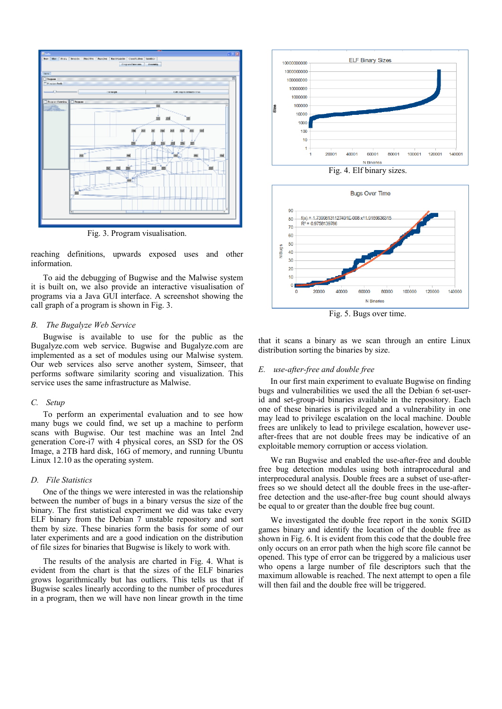

Fig. 3. Program visualisation.

reaching definitions, upwards exposed uses and other information.

To aid the debugging of Bugwise and the Malwise system it is built on, we also provide an interactive visualisation of programs via a Java GUI interface. A screenshot showing the call graph of a program is shown in Fig. 3.

## *B. The Bugalyze Web Service*

Bugwise is available to use for the public as the Bugalyze.com web service. Bugwise and Bugalyze.com are implemented as a set of modules using our Malwise system. Our web services also serve another system, Simseer, that performs software similarity scoring and visualization. This service uses the same infrastructure as Malwise.

## *C. Setup*

To perform an experimental evaluation and to see how many bugs we could find, we set up a machine to perform scans with Bugwise. Our test machine was an Intel 2nd generation Core-i7 with 4 physical cores, an SSD for the OS Image, a 2TB hard disk, 16G of memory, and running Ubuntu Linux 12.10 as the operating system.

## *D. File Statistics*

One of the things we were interested in was the relationship between the number of bugs in a binary versus the size of the binary. The first statistical experiment we did was take every ELF binary from the Debian 7 unstable repository and sort them by size. These binaries form the basis for some of our later experiments and are a good indication on the distribution of file sizes for binaries that Bugwise is likely to work with.

The results of the analysis are charted in Fig. 4. What is evident from the chart is that the sizes of the ELF binaries grows logarithmically but has outliers. This tells us that if Bugwise scales linearly according to the number of procedures in a program, then we will have non linear growth in the time



Fig. 4. Elf binary sizes.



Fig. 5. Bugs over time.

that it scans a binary as we scan through an entire Linux distribution sorting the binaries by size.

#### *E. use-after-free and double free*

In our first main experiment to evaluate Bugwise on finding bugs and vulnerabilities we used the all the Debian 6 set-userid and set-group-id binaries available in the repository. Each one of these binaries is privileged and a vulnerability in one may lead to privilege escalation on the local machine. Double frees are unlikely to lead to privilege escalation, however useafter-frees that are not double frees may be indicative of an exploitable memory corruption or access violation.

We ran Bugwise and enabled the use-after-free and double free bug detection modules using both intraprocedural and interprocedural analysis. Double frees are a subset of use-afterfrees so we should detect all the double frees in the use-afterfree detection and the use-after-free bug count should always be equal to or greater than the double free bug count.

We investigated the double free report in the xonix SGID games binary and identify the location of the double free as shown in Fig. 6. It is evident from this code that the double free only occurs on an error path when the high score file cannot be opened. This type of error can be triggered by a malicious user who opens a large number of file descriptors such that the maximum allowable is reached. The next attempt to open a file will then fail and the double free will be triggered.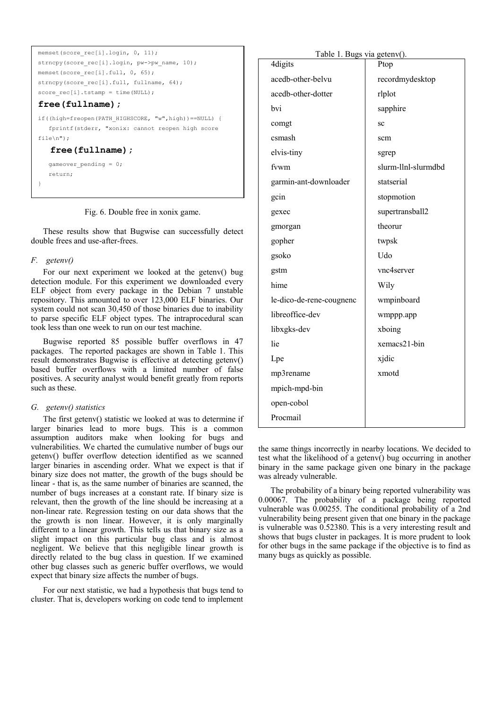```
memset(score_rec[i].login, 0, 11);
strncpy(score_rec[i].login, pw->pw_name, 10);
memset(score_rec[i].full, 0, 65);
strncpy(score_rec[i].full, fullname, 64);
score_rec[i].tstamp = time(NULL);
free(fullname);
if((high=freopen(PATH_HIGHSCORE, "w",high))==NULL) {
    fprintf(stderr, "xonix: cannot reopen high score 
fil\rho\n");
    free(fullname); 
   gameover pending = 0;
    return;
}
```
Fig. 6. Double free in xonix game.

These results show that Bugwise can successfully detect double frees and use-after-frees.

# *F. getenv()*

For our next experiment we looked at the getenv() bug detection module. For this experiment we downloaded every ELF object from every package in the Debian 7 unstable repository. This amounted to over 123,000 ELF binaries. Our system could not scan 30,450 of those binaries due to inability to parse specific ELF object types. The intraprocedural scan took less than one week to run on our test machine.

Bugwise reported 85 possible buffer overflows in 47 packages. The reported packages are shown in Table 1. This result demonstrates Bugwise is effective at detecting getenv() based buffer overflows with a limited number of false positives. A security analyst would benefit greatly from reports such as these.

## *G. getenv() statistics*

The first getenv() statistic we looked at was to determine if larger binaries lead to more bugs. This is a common assumption auditors make when looking for bugs and vulnerabilities. We charted the cumulative number of bugs our getenv() buffer overflow detection identified as we scanned larger binaries in ascending order. What we expect is that if binary size does not matter, the growth of the bugs should be linear - that is, as the same number of binaries are scanned, the number of bugs increases at a constant rate. If binary size is relevant, then the growth of the line should be increasing at a non-linear rate. Regression testing on our data shows that the the growth is non linear. However, it is only marginally different to a linear growth. This tells us that binary size as a slight impact on this particular bug class and is almost negligent. We believe that this negligible linear growth is directly related to the bug class in question. If we examined other bug classes such as generic buffer overflows, we would expect that binary size affects the number of bugs.

For our next statistic, we had a hypothesis that bugs tend to cluster. That is, developers working on code tend to implement

| Table 1. Bugs via getenv(). |                     |  |  |
|-----------------------------|---------------------|--|--|
| 4digits                     | Ptop                |  |  |
| acedb-other-belvu           | recordmydesktop     |  |  |
| acedb-other-dotter          | rlplot              |  |  |
| bvi                         | sapphire            |  |  |
| comgt                       | SC                  |  |  |
| csmash                      | scm                 |  |  |
| elvis-tiny                  | sgrep               |  |  |
| fvwm                        | slurm-llnl-slurmdbd |  |  |
| garmin-ant-downloader       | statserial          |  |  |
| gcin                        | stopmotion          |  |  |
| gexec                       | supertransball2     |  |  |
| gmorgan                     | theorur             |  |  |
| gopher                      | twpsk               |  |  |
| gsoko                       | Udo                 |  |  |
| gstm                        | vnc4server          |  |  |
| hime                        | Wily                |  |  |
| le-dico-de-rene-cougnenc    | wmpinboard          |  |  |
| libreoffice-dev             | wmppp.app           |  |  |
| libxgks-dev                 | xboing              |  |  |
| lie                         | xemacs21-bin        |  |  |
| Lpe                         | xjdic               |  |  |
| mp3rename                   | xmotd               |  |  |
| mpich-mpd-bin               |                     |  |  |
| open-cobol                  |                     |  |  |
| Procmail                    |                     |  |  |

the same things incorrectly in nearby locations. We decided to test what the likelihood of a getenv() bug occurring in another binary in the same package given one binary in the package was already vulnerable.

The probability of a binary being reported vulnerability was 0.00067. The probability of a package being reported vulnerable was 0.00255. The conditional probability of a 2nd vulnerability being present given that one binary in the package is vulnerable was 0.52380. This is a very interesting result and shows that bugs cluster in packages. It is more prudent to look for other bugs in the same package if the objective is to find as many bugs as quickly as possible.